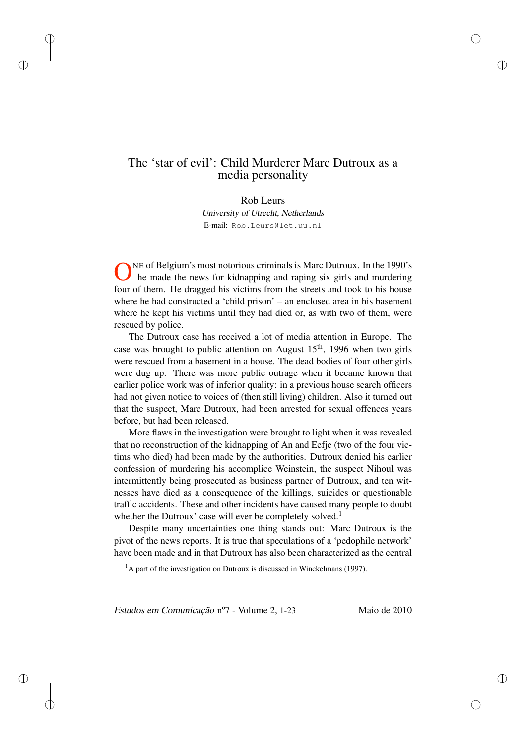## The 'star of evil': Child Murderer Marc Dutroux as a media personality

 $\rightarrow$ 

 $\rightarrow$ 

✐

✐

Rob Leurs *University of Utrecht, Netherlands* E-mail: Rob.Leurs@let.uu.nl

ONE of Belgium's most notorious criminals is Marc Dutroux. In the 1990's he made the news for kidnapping and raping six girls and murdering four of them. He dragged his victims from the streets and took to his house where he had constructed a 'child prison' – an enclosed area in his basement where he kept his victims until they had died or, as with two of them, were rescued by police.

The Dutroux case has received a lot of media attention in Europe. The case was brought to public attention on August 15<sup>th</sup>, 1996 when two girls were rescued from a basement in a house. The dead bodies of four other girls were dug up. There was more public outrage when it became known that earlier police work was of inferior quality: in a previous house search officers had not given notice to voices of (then still living) children. Also it turned out that the suspect, Marc Dutroux, had been arrested for sexual offences years before, but had been released.

More flaws in the investigation were brought to light when it was revealed that no reconstruction of the kidnapping of An and Eefje (two of the four victims who died) had been made by the authorities. Dutroux denied his earlier confession of murdering his accomplice Weinstein, the suspect Nihoul was intermittently being prosecuted as business partner of Dutroux, and ten witnesses have died as a consequence of the killings, suicides or questionable traffic accidents. These and other incidents have caused many people to doubt whether the Dutroux' case will ever be completely solved.<sup>1</sup>

Despite many uncertainties one thing stands out: Marc Dutroux is the pivot of the news reports. It is true that speculations of a 'pedophile network' have been made and in that Dutroux has also been characterized as the central

*Estudos em Comunicação* nº7 - Volume 2, 1-23 Maio de 2010

✐

✐

✐

<sup>&</sup>lt;sup>1</sup>A part of the investigation on Dutroux is discussed in Winckelmans (1997).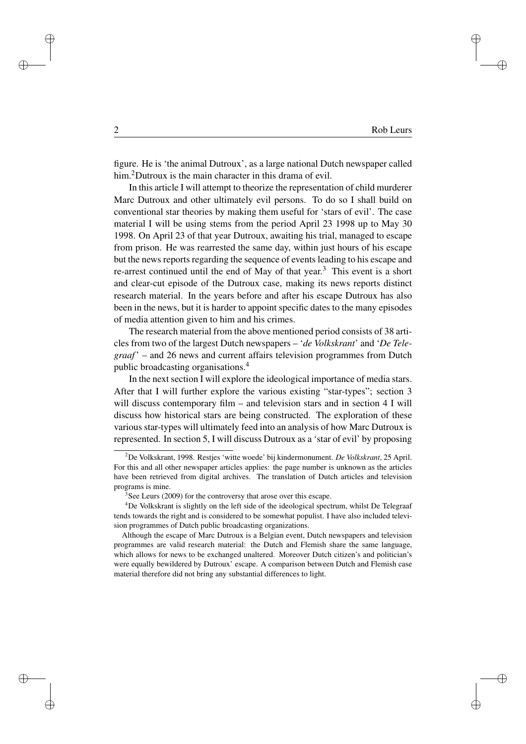✐

✐

✐

figure. He is 'the animal Dutroux', as a large national Dutch newspaper called him.<sup>2</sup>Dutroux is the main character in this drama of evil.

In this article I will attempt to theorize the representation of child murderer Marc Dutroux and other ultimately evil persons. To do so I shall build on conventional star theories by making them useful for 'stars of evil'. The case material I will be using stems from the period April 23 1998 up to May 30 1998. On April 23 of that year Dutroux, awaiting his trial, managed to escape from prison. He was rearrested the same day, within just hours of his escape but the news reports regarding the sequence of events leading to his escape and re-arrest continued until the end of May of that year.<sup>3</sup> This event is a short and clear-cut episode of the Dutroux case, making its news reports distinct research material. In the years before and after his escape Dutroux has also been in the news, but it is harder to appoint specific dates to the many episodes of media attention given to him and his crimes.

The research material from the above mentioned period consists of 38 articles from two of the largest Dutch newspapers – '*de Volkskrant*' and '*De Telegraaf*' – and 26 news and current affairs television programmes from Dutch public broadcasting organisations.4

In the next section I will explore the ideological importance of media stars. After that I will further explore the various existing "star-types"; section 3 will discuss contemporary film – and television stars and in section 4 I will discuss how historical stars are being constructed. The exploration of these various star-types will ultimately feed into an analysis of how Marc Dutroux is represented. In section 5, I will discuss Dutroux as a 'star of evil' by proposing

 $\rightarrow$ 

 $\rightarrow$ 

✐

<sup>2</sup> De Volkskrant, 1998. Restjes 'witte woede' bij kindermonument. *De Volkskrant*, 25 April. For this and all other newspaper articles applies: the page number is unknown as the articles have been retrieved from digital archives. The translation of Dutch articles and television programs is mine.

<sup>&</sup>lt;sup>3</sup>See Leurs (2009) for the controversy that arose over this escape.

<sup>&</sup>lt;sup>4</sup>De Volkskrant is slightly on the left side of the ideological spectrum, whilst De Telegraaf tends towards the right and is considered to be somewhat populist. I have also included television programmes of Dutch public broadcasting organizations.

Although the escape of Marc Dutroux is a Belgian event, Dutch newspapers and television programmes are valid research material: the Dutch and Flemish share the same language, which allows for news to be exchanged unaltered. Moreover Dutch citizen's and politician's were equally bewildered by Dutroux' escape. A comparison between Dutch and Flemish case material therefore did not bring any substantial differences to light.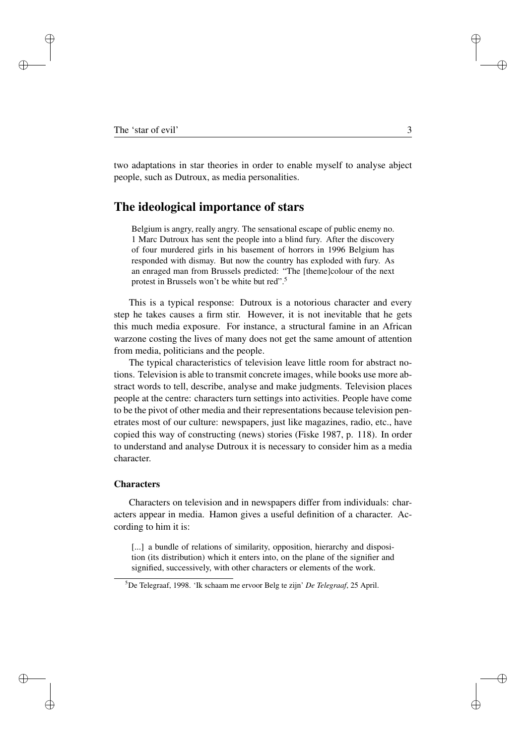$\rightarrow$ 

 $\bigoplus$ 

✐

two adaptations in star theories in order to enable myself to analyse abject people, such as Dutroux, as media personalities.

## The ideological importance of stars

Belgium is angry, really angry. The sensational escape of public enemy no. 1 Marc Dutroux has sent the people into a blind fury. After the discovery of four murdered girls in his basement of horrors in 1996 Belgium has responded with dismay. But now the country has exploded with fury. As an enraged man from Brussels predicted: "The [theme]colour of the next protest in Brussels won't be white but red".5

This is a typical response: Dutroux is a notorious character and every step he takes causes a firm stir. However, it is not inevitable that he gets this much media exposure. For instance, a structural famine in an African warzone costing the lives of many does not get the same amount of attention from media, politicians and the people.

The typical characteristics of television leave little room for abstract notions. Television is able to transmit concrete images, while books use more abstract words to tell, describe, analyse and make judgments. Television places people at the centre: characters turn settings into activities. People have come to be the pivot of other media and their representations because television penetrates most of our culture: newspapers, just like magazines, radio, etc., have copied this way of constructing (news) stories (Fiske 1987, p. 118). In order to understand and analyse Dutroux it is necessary to consider him as a media character.

#### **Characters**

Characters on television and in newspapers differ from individuals: characters appear in media. Hamon gives a useful definition of a character. According to him it is:

[...] a bundle of relations of similarity, opposition, hierarchy and disposition (its distribution) which it enters into, on the plane of the signifier and signified, successively, with other characters or elements of the work.

✐

✐

✐

<sup>5</sup> De Telegraaf, 1998. 'Ik schaam me ervoor Belg te zijn' *De Telegraaf*, 25 April.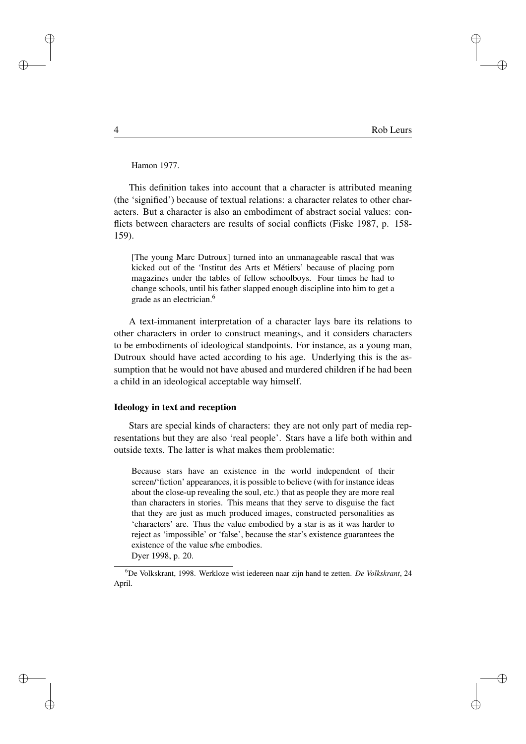✐

✐

✐

Hamon 1977.

This definition takes into account that a character is attributed meaning (the 'signified') because of textual relations: a character relates to other characters. But a character is also an embodiment of abstract social values: conflicts between characters are results of social conflicts (Fiske 1987, p. 158- 159).

[The young Marc Dutroux] turned into an unmanageable rascal that was kicked out of the 'Institut des Arts et Métiers' because of placing porn magazines under the tables of fellow schoolboys. Four times he had to change schools, until his father slapped enough discipline into him to get a grade as an electrician.<sup>6</sup>

A text-immanent interpretation of a character lays bare its relations to other characters in order to construct meanings, and it considers characters to be embodiments of ideological standpoints. For instance, as a young man, Dutroux should have acted according to his age. Underlying this is the assumption that he would not have abused and murdered children if he had been a child in an ideological acceptable way himself.

#### Ideology in text and reception

Stars are special kinds of characters: they are not only part of media representations but they are also 'real people'. Stars have a life both within and outside texts. The latter is what makes them problematic:

Because stars have an existence in the world independent of their screen/'fiction' appearances, it is possible to believe (with for instance ideas about the close-up revealing the soul, etc.) that as people they are more real than characters in stories. This means that they serve to disguise the fact that they are just as much produced images, constructed personalities as 'characters' are. Thus the value embodied by a star is as it was harder to reject as 'impossible' or 'false', because the star's existence guarantees the existence of the value s/he embodies.

Dyer 1998, p. 20.

 $\rightarrow$ 

 $\rightarrow$ 

✐

<sup>6</sup> De Volkskrant, 1998. Werkloze wist iedereen naar zijn hand te zetten. *De Volkskrant*, 24 April.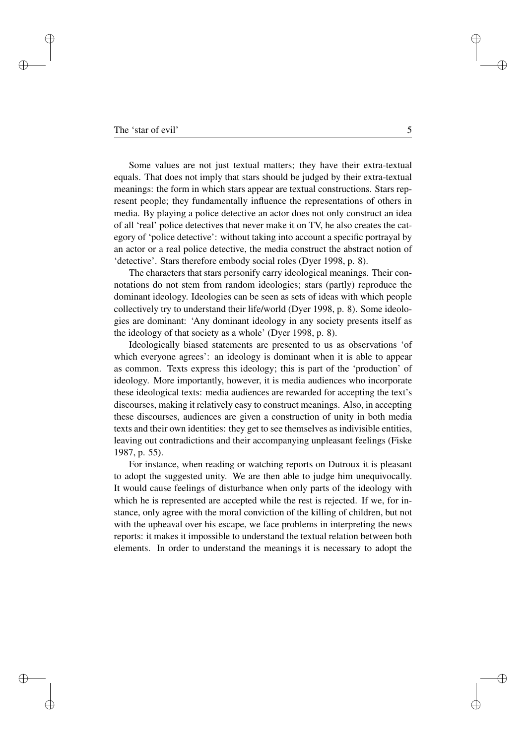$\rightarrow$ 

✐

✐

Some values are not just textual matters; they have their extra-textual equals. That does not imply that stars should be judged by their extra-textual meanings: the form in which stars appear are textual constructions. Stars represent people; they fundamentally influence the representations of others in media. By playing a police detective an actor does not only construct an idea of all 'real' police detectives that never make it on TV, he also creates the category of 'police detective': without taking into account a specific portrayal by an actor or a real police detective, the media construct the abstract notion of 'detective'. Stars therefore embody social roles (Dyer 1998, p. 8).

The characters that stars personify carry ideological meanings. Their connotations do not stem from random ideologies; stars (partly) reproduce the dominant ideology. Ideologies can be seen as sets of ideas with which people collectively try to understand their life/world (Dyer 1998, p. 8). Some ideologies are dominant: 'Any dominant ideology in any society presents itself as the ideology of that society as a whole' (Dyer 1998, p. 8).

Ideologically biased statements are presented to us as observations 'of which everyone agrees': an ideology is dominant when it is able to appear as common. Texts express this ideology; this is part of the 'production' of ideology. More importantly, however, it is media audiences who incorporate these ideological texts: media audiences are rewarded for accepting the text's discourses, making it relatively easy to construct meanings. Also, in accepting these discourses, audiences are given a construction of unity in both media texts and their own identities: they get to see themselves as indivisible entities, leaving out contradictions and their accompanying unpleasant feelings (Fiske 1987, p. 55).

For instance, when reading or watching reports on Dutroux it is pleasant to adopt the suggested unity. We are then able to judge him unequivocally. It would cause feelings of disturbance when only parts of the ideology with which he is represented are accepted while the rest is rejected. If we, for instance, only agree with the moral conviction of the killing of children, but not with the upheaval over his escape, we face problems in interpreting the news reports: it makes it impossible to understand the textual relation between both elements. In order to understand the meanings it is necessary to adopt the

✐

✐

✐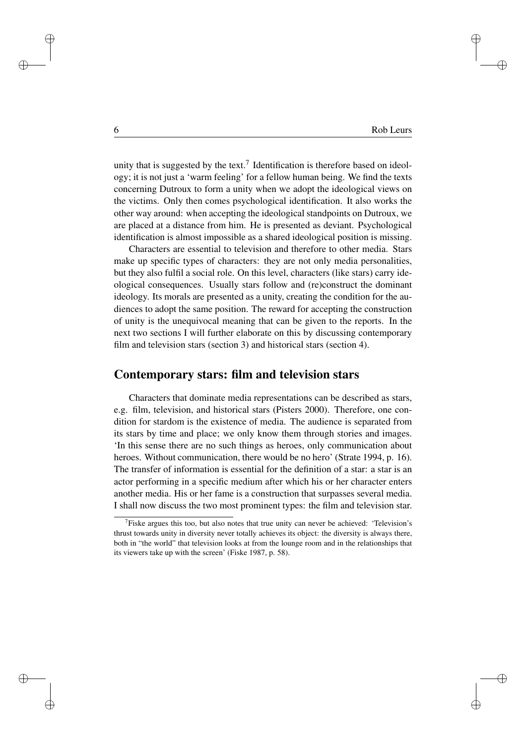✐

✐

✐

unity that is suggested by the text.<sup>7</sup> Identification is therefore based on ideology; it is not just a 'warm feeling' for a fellow human being. We find the texts concerning Dutroux to form a unity when we adopt the ideological views on the victims. Only then comes psychological identification. It also works the other way around: when accepting the ideological standpoints on Dutroux, we are placed at a distance from him. He is presented as deviant. Psychological identification is almost impossible as a shared ideological position is missing.

Characters are essential to television and therefore to other media. Stars make up specific types of characters: they are not only media personalities, but they also fulfil a social role. On this level, characters (like stars) carry ideological consequences. Usually stars follow and (re)construct the dominant ideology. Its morals are presented as a unity, creating the condition for the audiences to adopt the same position. The reward for accepting the construction of unity is the unequivocal meaning that can be given to the reports. In the next two sections I will further elaborate on this by discussing contemporary film and television stars (section 3) and historical stars (section 4).

## Contemporary stars: film and television stars

Characters that dominate media representations can be described as stars, e.g. film, television, and historical stars (Pisters 2000). Therefore, one condition for stardom is the existence of media. The audience is separated from its stars by time and place; we only know them through stories and images. 'In this sense there are no such things as heroes, only communication about heroes. Without communication, there would be no hero' (Strate 1994, p. 16). The transfer of information is essential for the definition of a star: a star is an actor performing in a specific medium after which his or her character enters another media. His or her fame is a construction that surpasses several media. I shall now discuss the two most prominent types: the film and television star.

 $\rightarrow$ 

 $\rightarrow$ 

✐

<sup>&</sup>lt;sup>7</sup>Fiske argues this too, but also notes that true unity can never be achieved: 'Television's thrust towards unity in diversity never totally achieves its object: the diversity is always there, both in "the world" that television looks at from the lounge room and in the relationships that its viewers take up with the screen' (Fiske 1987, p. 58).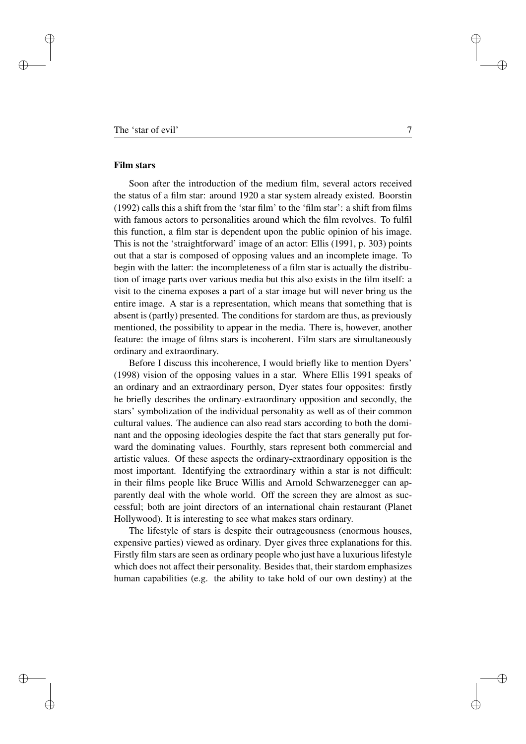#### Film stars

 $\rightarrow$ 

 $\rightarrow$ 

✐

✐

Soon after the introduction of the medium film, several actors received the status of a film star: around 1920 a star system already existed. Boorstin (1992) calls this a shift from the 'star film' to the 'film star': a shift from films with famous actors to personalities around which the film revolves. To fulfil this function, a film star is dependent upon the public opinion of his image. This is not the 'straightforward' image of an actor: Ellis (1991, p. 303) points out that a star is composed of opposing values and an incomplete image. To begin with the latter: the incompleteness of a film star is actually the distribution of image parts over various media but this also exists in the film itself: a visit to the cinema exposes a part of a star image but will never bring us the entire image. A star is a representation, which means that something that is absent is (partly) presented. The conditions for stardom are thus, as previously mentioned, the possibility to appear in the media. There is, however, another feature: the image of films stars is incoherent. Film stars are simultaneously ordinary and extraordinary.

Before I discuss this incoherence, I would briefly like to mention Dyers' (1998) vision of the opposing values in a star. Where Ellis 1991 speaks of an ordinary and an extraordinary person, Dyer states four opposites: firstly he briefly describes the ordinary-extraordinary opposition and secondly, the stars' symbolization of the individual personality as well as of their common cultural values. The audience can also read stars according to both the dominant and the opposing ideologies despite the fact that stars generally put forward the dominating values. Fourthly, stars represent both commercial and artistic values. Of these aspects the ordinary-extraordinary opposition is the most important. Identifying the extraordinary within a star is not difficult: in their films people like Bruce Willis and Arnold Schwarzenegger can apparently deal with the whole world. Off the screen they are almost as successful; both are joint directors of an international chain restaurant (Planet Hollywood). It is interesting to see what makes stars ordinary.

The lifestyle of stars is despite their outrageousness (enormous houses, expensive parties) viewed as ordinary. Dyer gives three explanations for this. Firstly film stars are seen as ordinary people who just have a luxurious lifestyle which does not affect their personality. Besides that, their stardom emphasizes human capabilities (e.g. the ability to take hold of our own destiny) at the ✐

✐

✐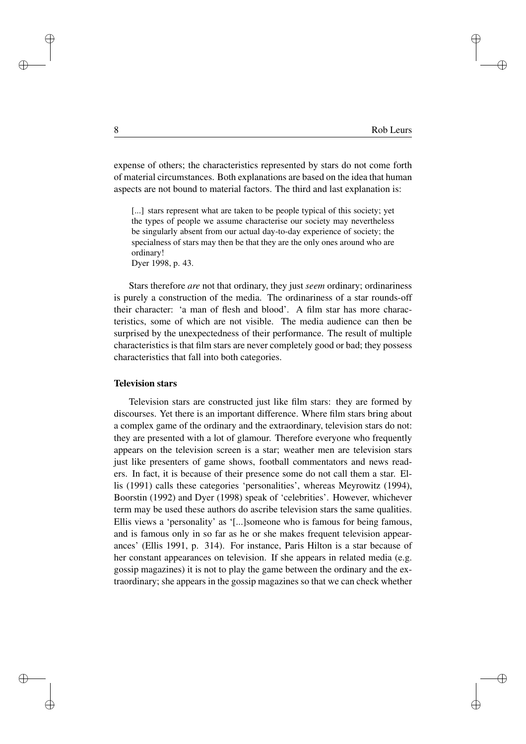✐

✐

✐

expense of others; the characteristics represented by stars do not come forth of material circumstances. Both explanations are based on the idea that human aspects are not bound to material factors. The third and last explanation is:

[...] stars represent what are taken to be people typical of this society; yet the types of people we assume characterise our society may nevertheless be singularly absent from our actual day-to-day experience of society; the specialness of stars may then be that they are the only ones around who are ordinary!

Dyer 1998, p. 43.

Stars therefore *are* not that ordinary, they just *seem* ordinary; ordinariness is purely a construction of the media. The ordinariness of a star rounds-off their character: 'a man of flesh and blood'. A film star has more characteristics, some of which are not visible. The media audience can then be surprised by the unexpectedness of their performance. The result of multiple characteristics is that film stars are never completely good or bad; they possess characteristics that fall into both categories.

#### Television stars

Television stars are constructed just like film stars: they are formed by discourses. Yet there is an important difference. Where film stars bring about a complex game of the ordinary and the extraordinary, television stars do not: they are presented with a lot of glamour. Therefore everyone who frequently appears on the television screen is a star; weather men are television stars just like presenters of game shows, football commentators and news readers. In fact, it is because of their presence some do not call them a star. Ellis (1991) calls these categories 'personalities', whereas Meyrowitz (1994), Boorstin (1992) and Dyer (1998) speak of 'celebrities'. However, whichever term may be used these authors do ascribe television stars the same qualities. Ellis views a 'personality' as '[...]someone who is famous for being famous, and is famous only in so far as he or she makes frequent television appearances' (Ellis 1991, p. 314). For instance, Paris Hilton is a star because of her constant appearances on television. If she appears in related media (e.g. gossip magazines) it is not to play the game between the ordinary and the extraordinary; she appears in the gossip magazines so that we can check whether

 $\rightarrow$ 

 $\rightarrow$ 

✐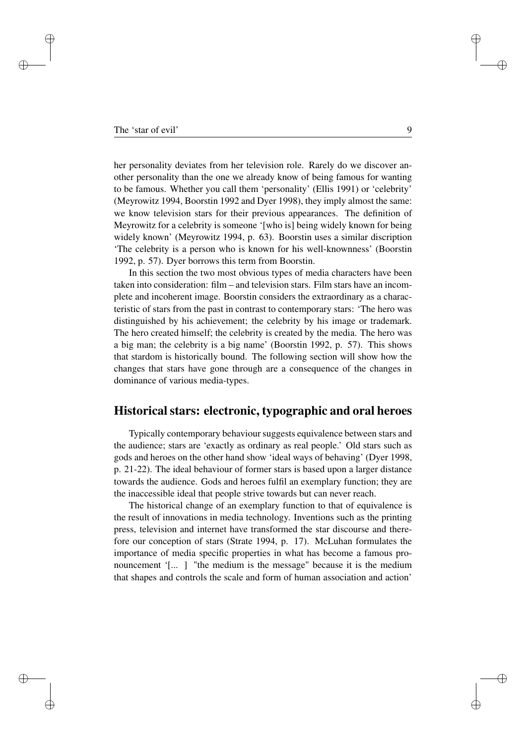$\rightarrow$ 

✐

✐

her personality deviates from her television role. Rarely do we discover another personality than the one we already know of being famous for wanting to be famous. Whether you call them 'personality' (Ellis 1991) or 'celebrity' (Meyrowitz 1994, Boorstin 1992 and Dyer 1998), they imply almost the same: we know television stars for their previous appearances. The definition of Meyrowitz for a celebrity is someone '[who is] being widely known for being widely known' (Meyrowitz 1994, p. 63). Boorstin uses a similar discription 'The celebrity is a person who is known for his well-knownness' (Boorstin 1992, p. 57). Dyer borrows this term from Boorstin.

In this section the two most obvious types of media characters have been taken into consideration: film – and television stars. Film stars have an incomplete and incoherent image. Boorstin considers the extraordinary as a characteristic of stars from the past in contrast to contemporary stars: 'The hero was distinguished by his achievement; the celebrity by his image or trademark. The hero created himself; the celebrity is created by the media. The hero was a big man; the celebrity is a big name' (Boorstin 1992, p. 57). This shows that stardom is historically bound. The following section will show how the changes that stars have gone through are a consequence of the changes in dominance of various media-types.

## Historical stars: electronic, typographic and oral heroes

Typically contemporary behaviour suggests equivalence between stars and the audience; stars are 'exactly as ordinary as real people.' Old stars such as gods and heroes on the other hand show 'ideal ways of behaving' (Dyer 1998, p. 21-22). The ideal behaviour of former stars is based upon a larger distance towards the audience. Gods and heroes fulfil an exemplary function; they are the inaccessible ideal that people strive towards but can never reach.

The historical change of an exemplary function to that of equivalence is the result of innovations in media technology. Inventions such as the printing press, television and internet have transformed the star discourse and therefore our conception of stars (Strate 1994, p. 17). McLuhan formulates the importance of media specific properties in what has become a famous pronouncement '[... ] "the medium is the message" because it is the medium that shapes and controls the scale and form of human association and action'

✐

✐

✐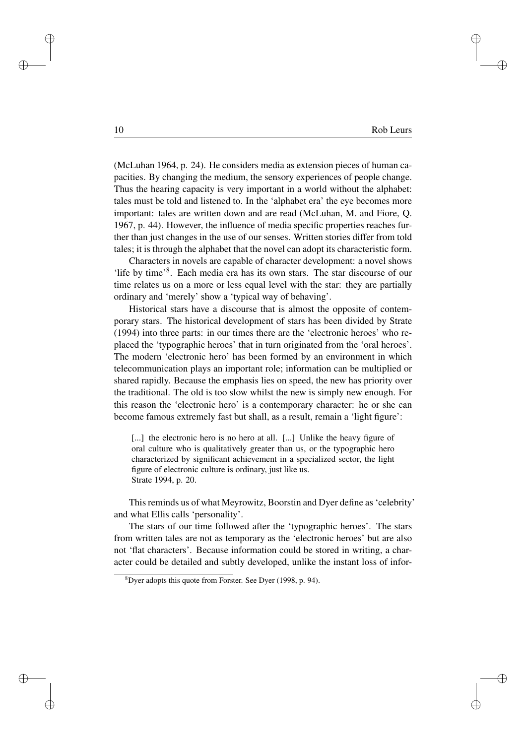✐

✐

✐

(McLuhan 1964, p. 24). He considers media as extension pieces of human capacities. By changing the medium, the sensory experiences of people change. Thus the hearing capacity is very important in a world without the alphabet: tales must be told and listened to. In the 'alphabet era' the eye becomes more important: tales are written down and are read (McLuhan, M. and Fiore, Q. 1967, p. 44). However, the influence of media specific properties reaches further than just changes in the use of our senses. Written stories differ from told tales; it is through the alphabet that the novel can adopt its characteristic form.

Characters in novels are capable of character development: a novel shows 'life by time'8. Each media era has its own stars. The star discourse of our time relates us on a more or less equal level with the star: they are partially ordinary and 'merely' show a 'typical way of behaving'.

Historical stars have a discourse that is almost the opposite of contemporary stars. The historical development of stars has been divided by Strate (1994) into three parts: in our times there are the 'electronic heroes' who replaced the 'typographic heroes' that in turn originated from the 'oral heroes'. The modern 'electronic hero' has been formed by an environment in which telecommunication plays an important role; information can be multiplied or shared rapidly. Because the emphasis lies on speed, the new has priority over the traditional. The old is too slow whilst the new is simply new enough. For this reason the 'electronic hero' is a contemporary character: he or she can become famous extremely fast but shall, as a result, remain a 'light figure':

[...] the electronic hero is no hero at all. [...] Unlike the heavy figure of oral culture who is qualitatively greater than us, or the typographic hero characterized by significant achievement in a specialized sector, the light figure of electronic culture is ordinary, just like us. Strate 1994, p. 20.

This reminds us of what Meyrowitz, Boorstin and Dyer define as 'celebrity' and what Ellis calls 'personality'.

The stars of our time followed after the 'typographic heroes'. The stars from written tales are not as temporary as the 'electronic heroes' but are also not 'flat characters'. Because information could be stored in writing, a character could be detailed and subtly developed, unlike the instant loss of infor-

 $\rightarrow$ 

 $\rightarrow$ 

✐

<sup>&</sup>lt;sup>8</sup>Dyer adopts this quote from Forster. See Dyer (1998, p. 94).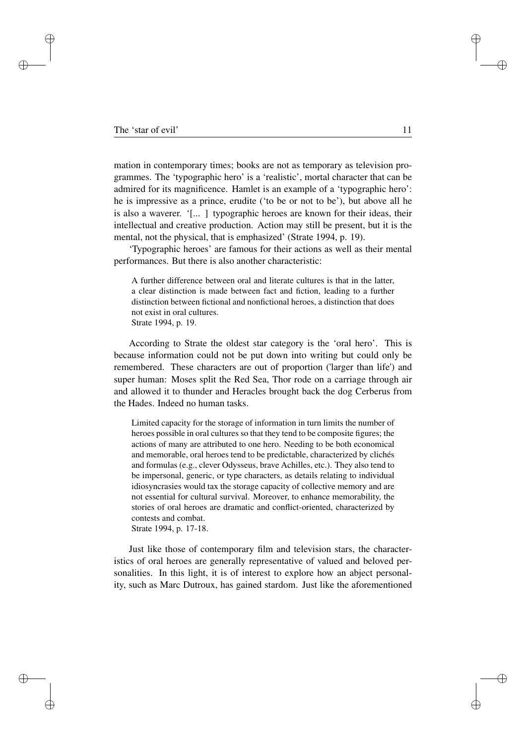$\rightarrow$ 

✐

✐

mation in contemporary times; books are not as temporary as television programmes. The 'typographic hero' is a 'realistic', mortal character that can be admired for its magnificence. Hamlet is an example of a 'typographic hero': he is impressive as a prince, erudite ('to be or not to be'), but above all he is also a waverer. '[... ] typographic heroes are known for their ideas, their intellectual and creative production. Action may still be present, but it is the mental, not the physical, that is emphasized' (Strate 1994, p. 19).

'Typographic heroes' are famous for their actions as well as their mental performances. But there is also another characteristic:

A further difference between oral and literate cultures is that in the latter, a clear distinction is made between fact and fiction, leading to a further distinction between fictional and nonfictional heroes, a distinction that does not exist in oral cultures. Strate 1994, p. 19.

According to Strate the oldest star category is the 'oral hero'. This is because information could not be put down into writing but could only be remembered. These characters are out of proportion ('larger than life') and super human: Moses split the Red Sea, Thor rode on a carriage through air and allowed it to thunder and Heracles brought back the dog Cerberus from the Hades. Indeed no human tasks.

Limited capacity for the storage of information in turn limits the number of heroes possible in oral cultures so that they tend to be composite figures; the actions of many are attributed to one hero. Needing to be both economical and memorable, oral heroes tend to be predictable, characterized by clichés and formulas (e.g., clever Odysseus, brave Achilles, etc.). They also tend to be impersonal, generic, or type characters, as details relating to individual idiosyncrasies would tax the storage capacity of collective memory and are not essential for cultural survival. Moreover, to enhance memorability, the stories of oral heroes are dramatic and conflict-oriented, characterized by contests and combat.

Strate 1994, p. 17-18.

Just like those of contemporary film and television stars, the characteristics of oral heroes are generally representative of valued and beloved personalities. In this light, it is of interest to explore how an abject personality, such as Marc Dutroux, has gained stardom. Just like the aforementioned ✐

✐

✐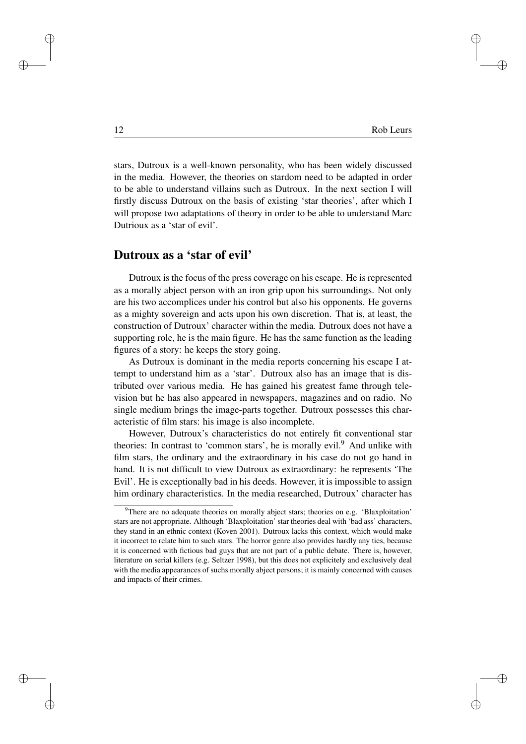✐

✐

✐

stars, Dutroux is a well-known personality, who has been widely discussed in the media. However, the theories on stardom need to be adapted in order to be able to understand villains such as Dutroux. In the next section I will firstly discuss Dutroux on the basis of existing 'star theories', after which I will propose two adaptations of theory in order to be able to understand Marc Dutrioux as a 'star of evil'.

## Dutroux as a 'star of evil'

Dutroux is the focus of the press coverage on his escape. He is represented as a morally abject person with an iron grip upon his surroundings. Not only are his two accomplices under his control but also his opponents. He governs as a mighty sovereign and acts upon his own discretion. That is, at least, the construction of Dutroux' character within the media. Dutroux does not have a supporting role, he is the main figure. He has the same function as the leading figures of a story: he keeps the story going.

As Dutroux is dominant in the media reports concerning his escape I attempt to understand him as a 'star'. Dutroux also has an image that is distributed over various media. He has gained his greatest fame through television but he has also appeared in newspapers, magazines and on radio. No single medium brings the image-parts together. Dutroux possesses this characteristic of film stars: his image is also incomplete.

However, Dutroux's characteristics do not entirely fit conventional star theories: In contrast to 'common stars', he is morally evil. $9$  And unlike with film stars, the ordinary and the extraordinary in his case do not go hand in hand. It is not difficult to view Dutroux as extraordinary: he represents 'The Evil'. He is exceptionally bad in his deeds. However, it is impossible to assign him ordinary characteristics. In the media researched, Dutroux' character has

 $\rightarrow$ 

 $\rightarrow$ 

✐

<sup>&</sup>lt;sup>9</sup>There are no adequate theories on morally abject stars; theories on e.g. 'Blaxploitation' stars are not appropriate. Although 'Blaxploitation' star theories deal with 'bad ass' characters, they stand in an ethnic context (Koven 2001). Dutroux lacks this context, which would make it incorrect to relate him to such stars. The horror genre also provides hardly any ties, because it is concerned with fictious bad guys that are not part of a public debate. There is, however, literature on serial killers (e.g. Seltzer 1998), but this does not explicitely and exclusively deal with the media appearances of suchs morally abject persons; it is mainly concerned with causes and impacts of their crimes.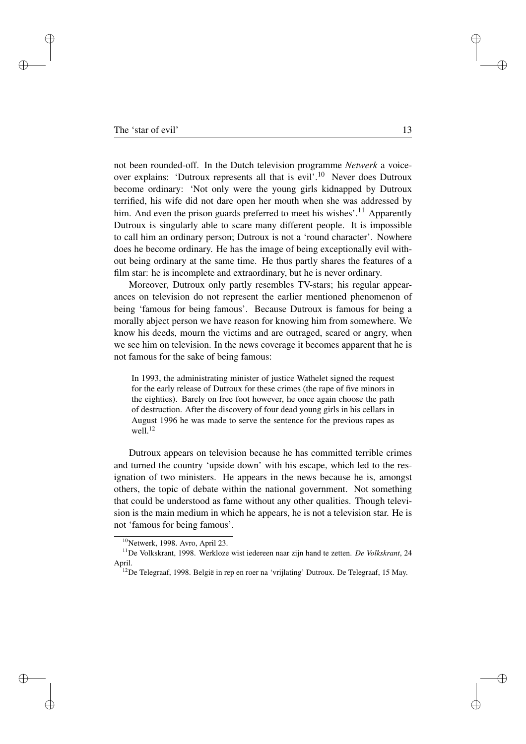$\rightarrow$ 

✐

✐

not been rounded-off. In the Dutch television programme *Netwerk* a voiceover explains: 'Dutroux represents all that is evil'.<sup>10</sup> Never does Dutroux become ordinary: 'Not only were the young girls kidnapped by Dutroux terrified, his wife did not dare open her mouth when she was addressed by him. And even the prison guards preferred to meet his wishes'.<sup>11</sup> Apparently Dutroux is singularly able to scare many different people. It is impossible to call him an ordinary person; Dutroux is not a 'round character'. Nowhere does he become ordinary. He has the image of being exceptionally evil without being ordinary at the same time. He thus partly shares the features of a film star: he is incomplete and extraordinary, but he is never ordinary.

Moreover, Dutroux only partly resembles TV-stars; his regular appearances on television do not represent the earlier mentioned phenomenon of being 'famous for being famous'. Because Dutroux is famous for being a morally abject person we have reason for knowing him from somewhere. We know his deeds, mourn the victims and are outraged, scared or angry, when we see him on television. In the news coverage it becomes apparent that he is not famous for the sake of being famous:

In 1993, the administrating minister of justice Wathelet signed the request for the early release of Dutroux for these crimes (the rape of five minors in the eighties). Barely on free foot however, he once again choose the path of destruction. After the discovery of four dead young girls in his cellars in August 1996 he was made to serve the sentence for the previous rapes as well.<sup>12</sup>

Dutroux appears on television because he has committed terrible crimes and turned the country 'upside down' with his escape, which led to the resignation of two ministers. He appears in the news because he is, amongst others, the topic of debate within the national government. Not something that could be understood as fame without any other qualities. Though television is the main medium in which he appears, he is not a television star. He is not 'famous for being famous'.

✐

✐

✐

<sup>10</sup>Netwerk, 1998. Avro, April 23.

<sup>11</sup>De Volkskrant, 1998. Werkloze wist iedereen naar zijn hand te zetten. *De Volkskrant*, 24 April.

 $12$ De Telegraaf, 1998. België in rep en roer na 'vrijlating' Dutroux. De Telegraaf, 15 May.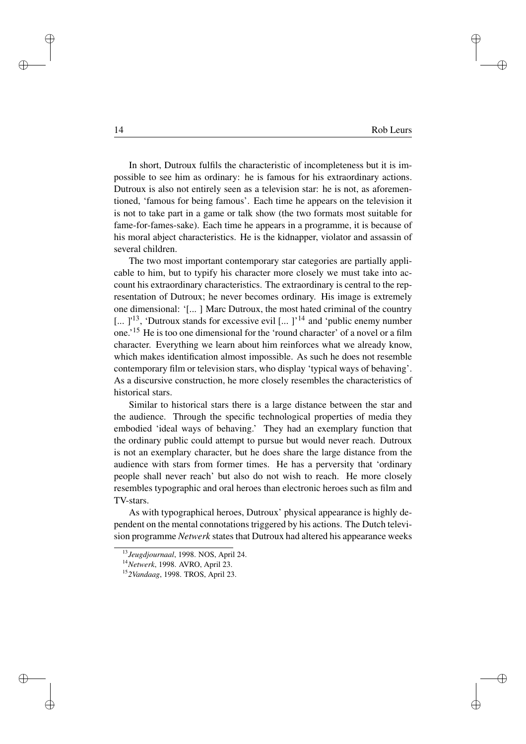✐

✐

✐

In short, Dutroux fulfils the characteristic of incompleteness but it is impossible to see him as ordinary: he is famous for his extraordinary actions. Dutroux is also not entirely seen as a television star: he is not, as aforementioned, 'famous for being famous'. Each time he appears on the television it is not to take part in a game or talk show (the two formats most suitable for fame-for-fames-sake). Each time he appears in a programme, it is because of his moral abject characteristics. He is the kidnapper, violator and assassin of several children.

The two most important contemporary star categories are partially applicable to him, but to typify his character more closely we must take into account his extraordinary characteristics. The extraordinary is central to the representation of Dutroux; he never becomes ordinary. His image is extremely one dimensional: '[... ] Marc Dutroux, the most hated criminal of the country  $\left[\dots\right]^{13}$ , 'Dutroux stands for excessive evil  $\left[\dots\right]^{14}$  and 'public enemy number one.'15 He is too one dimensional for the 'round character' of a novel or a film character. Everything we learn about him reinforces what we already know, which makes identification almost impossible. As such he does not resemble contemporary film or television stars, who display 'typical ways of behaving'. As a discursive construction, he more closely resembles the characteristics of historical stars.

Similar to historical stars there is a large distance between the star and the audience. Through the specific technological properties of media they embodied 'ideal ways of behaving.' They had an exemplary function that the ordinary public could attempt to pursue but would never reach. Dutroux is not an exemplary character, but he does share the large distance from the audience with stars from former times. He has a perversity that 'ordinary people shall never reach' but also do not wish to reach. He more closely resembles typographic and oral heroes than electronic heroes such as film and TV-stars.

As with typographical heroes, Dutroux' physical appearance is highly dependent on the mental connotations triggered by his actions. The Dutch television programme *Netwerk* states that Dutroux had altered his appearance weeks

 $\rightarrow$ 

 $\rightarrow$ 

✐

<sup>13</sup>*Jeugdjournaal*, 1998. NOS, April 24.

<sup>14</sup>*Netwerk*, 1998. AVRO, April 23.

<sup>15</sup>*2Vandaag*, 1998. TROS, April 23.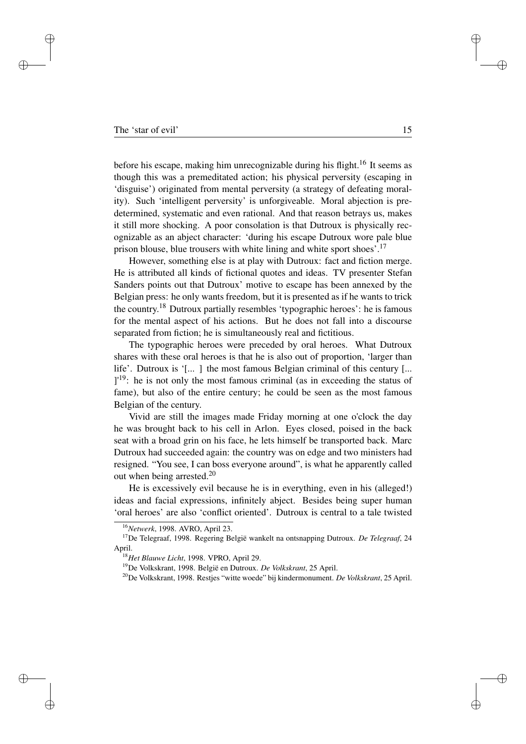$\rightarrow$ 

✐

✐

before his escape, making him unrecognizable during his flight.<sup>16</sup> It seems as though this was a premeditated action; his physical perversity (escaping in 'disguise') originated from mental perversity (a strategy of defeating morality). Such 'intelligent perversity' is unforgiveable. Moral abjection is predetermined, systematic and even rational. And that reason betrays us, makes it still more shocking. A poor consolation is that Dutroux is physically recognizable as an abject character: 'during his escape Dutroux wore pale blue prison blouse, blue trousers with white lining and white sport shoes'.17

However, something else is at play with Dutroux: fact and fiction merge. He is attributed all kinds of fictional quotes and ideas. TV presenter Stefan Sanders points out that Dutroux' motive to escape has been annexed by the Belgian press: he only wants freedom, but it is presented as if he wants to trick the country.<sup>18</sup> Dutroux partially resembles 'typographic heroes': he is famous for the mental aspect of his actions. But he does not fall into a discourse separated from fiction; he is simultaneously real and fictitious.

The typographic heroes were preceded by oral heroes. What Dutroux shares with these oral heroes is that he is also out of proportion, 'larger than life'. Dutroux is '[...] the most famous Belgian criminal of this century [...  $\vert\vert^{19}$ : he is not only the most famous criminal (as in exceeding the status of fame), but also of the entire century; he could be seen as the most famous Belgian of the century.

Vivid are still the images made Friday morning at one o'clock the day he was brought back to his cell in Arlon. Eyes closed, poised in the back seat with a broad grin on his face, he lets himself be transported back. Marc Dutroux had succeeded again: the country was on edge and two ministers had resigned. "You see, I can boss everyone around", is what he apparently called out when being arrested. $20$ 

He is excessively evil because he is in everything, even in his (alleged!) ideas and facial expressions, infinitely abject. Besides being super human 'oral heroes' are also 'conflict oriented'. Dutroux is central to a tale twisted ✐

✐

✐

<sup>16</sup>*Netwerk*, 1998. AVRO, April 23.

<sup>17</sup>De Telegraaf, 1998. Regering België wankelt na ontsnapping Dutroux. *De Telegraaf*, 24 April.

<sup>18</sup>*Het Blauwe Licht*, 1998. VPRO, April 29.

<sup>19</sup>De Volkskrant, 1998. België en Dutroux. *De Volkskrant*, 25 April.

<sup>20</sup>De Volkskrant, 1998. Restjes "witte woede" bij kindermonument. *De Volkskrant*, 25 April.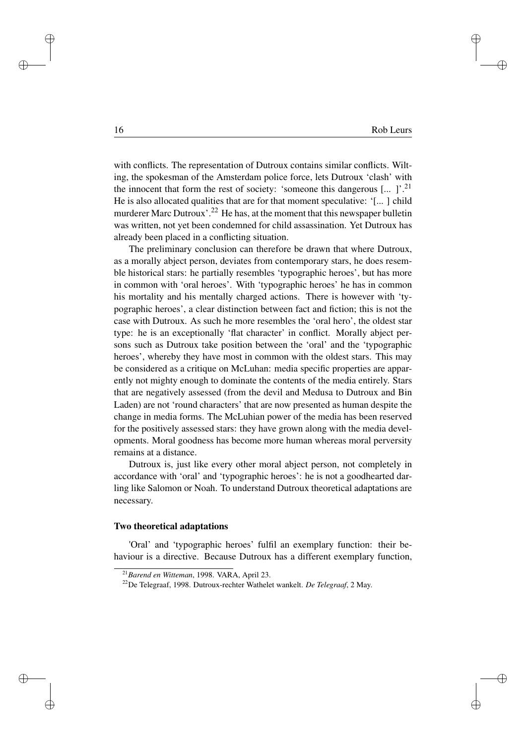✐

✐

✐

with conflicts. The representation of Dutroux contains similar conflicts. Wilting, the spokesman of the Amsterdam police force, lets Dutroux 'clash' with the innocent that form the rest of society: 'someone this dangerous  $[\dots]$ '.<sup>21</sup> He is also allocated qualities that are for that moment speculative: '[... ] child murderer Marc Dutroux'.<sup>22</sup> He has, at the moment that this newspaper bulletin was written, not yet been condemned for child assassination. Yet Dutroux has already been placed in a conflicting situation.

The preliminary conclusion can therefore be drawn that where Dutroux, as a morally abject person, deviates from contemporary stars, he does resemble historical stars: he partially resembles 'typographic heroes', but has more in common with 'oral heroes'. With 'typographic heroes' he has in common his mortality and his mentally charged actions. There is however with 'typographic heroes', a clear distinction between fact and fiction; this is not the case with Dutroux. As such he more resembles the 'oral hero', the oldest star type: he is an exceptionally 'flat character' in conflict. Morally abject persons such as Dutroux take position between the 'oral' and the 'typographic heroes', whereby they have most in common with the oldest stars. This may be considered as a critique on McLuhan: media specific properties are apparently not mighty enough to dominate the contents of the media entirely. Stars that are negatively assessed (from the devil and Medusa to Dutroux and Bin Laden) are not 'round characters' that are now presented as human despite the change in media forms. The McLuhian power of the media has been reserved for the positively assessed stars: they have grown along with the media developments. Moral goodness has become more human whereas moral perversity remains at a distance.

Dutroux is, just like every other moral abject person, not completely in accordance with 'oral' and 'typographic heroes': he is not a goodhearted darling like Salomon or Noah. To understand Dutroux theoretical adaptations are necessary.

#### Two theoretical adaptations

'Oral' and 'typographic heroes' fulfil an exemplary function: their behaviour is a directive. Because Dutroux has a different exemplary function,

 $\rightarrow$ 

 $\rightarrow$ 

✐

<sup>21</sup>*Barend en Witteman*, 1998. VARA, April 23.

<sup>22</sup>De Telegraaf, 1998. Dutroux-rechter Wathelet wankelt. *De Telegraaf*, 2 May.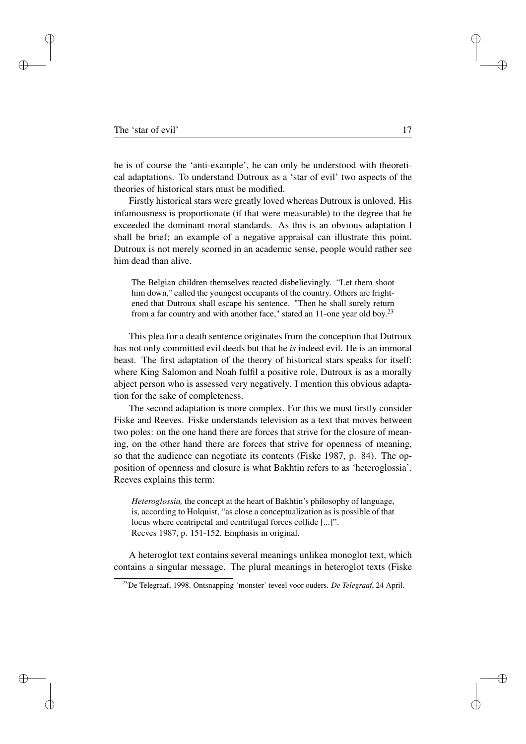$\rightarrow$ 

✐

✐

he is of course the 'anti-example', he can only be understood with theoretical adaptations. To understand Dutroux as a 'star of evil' two aspects of the theories of historical stars must be modified.

Firstly historical stars were greatly loved whereas Dutroux is unloved. His infamousness is proportionate (if that were measurable) to the degree that he exceeded the dominant moral standards. As this is an obvious adaptation I shall be brief; an example of a negative appraisal can illustrate this point. Dutroux is not merely scorned in an academic sense, people would rather see him dead than alive.

The Belgian children themselves reacted disbelievingly. "Let them shoot him down," called the youngest occupants of the country. Others are frightened that Dutroux shall escape his sentence. "Then he shall surely return from a far country and with another face," stated an 11-one year old boy.<sup>23</sup>

This plea for a death sentence originates from the conception that Dutroux has not only committed evil deeds but that he *is* indeed evil. He is an immoral beast. The first adaptation of the theory of historical stars speaks for itself: where King Salomon and Noah fulfil a positive role, Dutroux is as a morally abject person who is assessed very negatively. I mention this obvious adaptation for the sake of completeness.

The second adaptation is more complex. For this we must firstly consider Fiske and Reeves. Fiske understands television as a text that moves between two poles: on the one hand there are forces that strive for the closure of meaning, on the other hand there are forces that strive for openness of meaning, so that the audience can negotiate its contents (Fiske 1987, p. 84). The opposition of openness and closure is what Bakhtin refers to as 'heteroglossia'. Reeves explains this term:

*Heteroglossia,* the concept at the heart of Bakhtin's philosophy of language, is, according to Holquist, "as close a conceptualization as is possible of that locus where centripetal and centrifugal forces collide [...]". Reeves 1987, p. 151-152. Emphasis in original.

A heteroglot text contains several meanings unlikea monoglot text, which contains a singular message. The plural meanings in heteroglot texts (Fiske ✐

✐

✐

<sup>23</sup>De Telegraaf, 1998. Ontsnapping 'monster' teveel voor ouders. *De Telegraaf*, 24 April.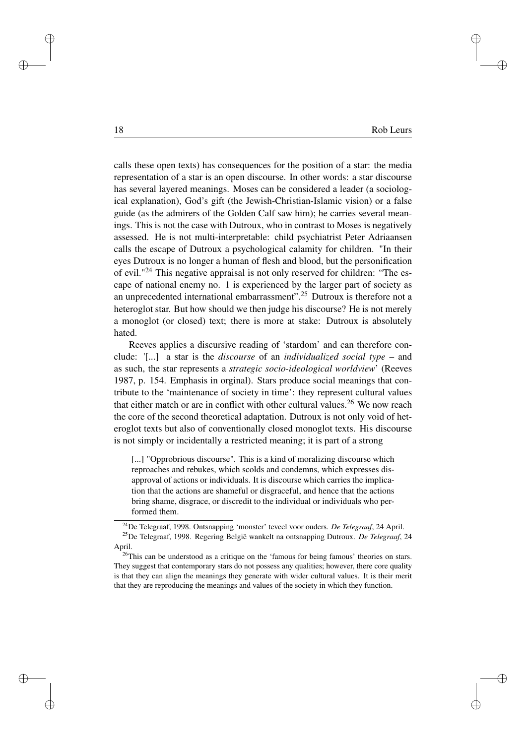✐

✐

✐

calls these open texts) has consequences for the position of a star: the media representation of a star is an open discourse. In other words: a star discourse has several layered meanings. Moses can be considered a leader (a sociological explanation), God's gift (the Jewish-Christian-Islamic vision) or a false guide (as the admirers of the Golden Calf saw him); he carries several meanings. This is not the case with Dutroux, who in contrast to Moses is negatively assessed. He is not multi-interpretable: child psychiatrist Peter Adriaansen calls the escape of Dutroux a psychological calamity for children. "In their eyes Dutroux is no longer a human of flesh and blood, but the personification of evil."24 This negative appraisal is not only reserved for children: "The escape of national enemy no. 1 is experienced by the larger part of society as an unprecedented international embarrassment".<sup>25</sup> Dutroux is therefore not a heteroglot star. But how should we then judge his discourse? He is not merely a monoglot (or closed) text; there is more at stake: Dutroux is absolutely hated.

Reeves applies a discursive reading of 'stardom' and can therefore conclude: '[...] a star is the *discourse* of an *individualized social type* – and as such, the star represents a *strategic socio-ideological worldview*' (Reeves 1987, p. 154. Emphasis in orginal). Stars produce social meanings that contribute to the 'maintenance of society in time': they represent cultural values that either match or are in conflict with other cultural values.<sup>26</sup> We now reach the core of the second theoretical adaptation. Dutroux is not only void of heteroglot texts but also of conventionally closed monoglot texts. His discourse is not simply or incidentally a restricted meaning; it is part of a strong

[...] "Opprobrious discourse". This is a kind of moralizing discourse which reproaches and rebukes, which scolds and condemns, which expresses disapproval of actions or individuals. It is discourse which carries the implication that the actions are shameful or disgraceful, and hence that the actions bring shame, disgrace, or discredit to the individual or individuals who performed them.

 $\rightarrow$ 

 $\rightarrow$ 

✐

<sup>24</sup>De Telegraaf, 1998. Ontsnapping 'monster' teveel voor ouders. *De Telegraaf*, 24 April.

<sup>25</sup>De Telegraaf, 1998. Regering België wankelt na ontsnapping Dutroux. *De Telegraaf*, 24 April.

 $^{26}$ This can be understood as a critique on the 'famous for being famous' theories on stars. They suggest that contemporary stars do not possess any qualities; however, there core quality is that they can align the meanings they generate with wider cultural values. It is their merit that they are reproducing the meanings and values of the society in which they function.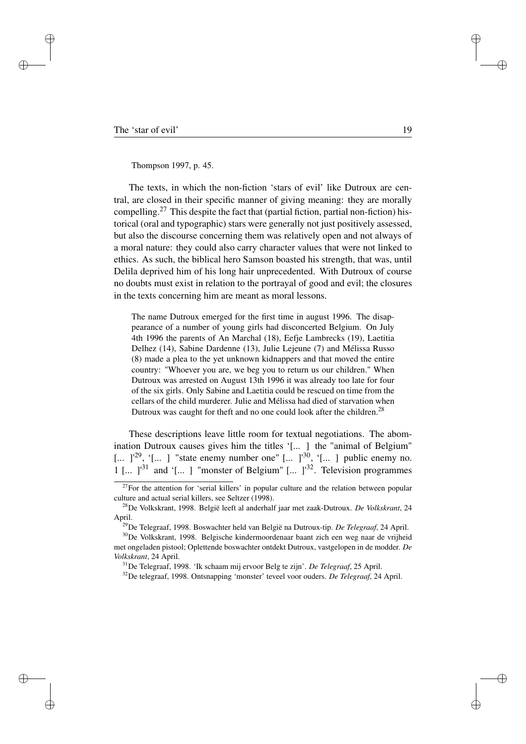$\rightarrow$ 

✐

✐

Thompson 1997, p. 45.

The texts, in which the non-fiction 'stars of evil' like Dutroux are central, are closed in their specific manner of giving meaning: they are morally compelling.<sup>27</sup> This despite the fact that (partial fiction, partial non-fiction) historical (oral and typographic) stars were generally not just positively assessed, but also the discourse concerning them was relatively open and not always of a moral nature: they could also carry character values that were not linked to ethics. As such, the biblical hero Samson boasted his strength, that was, until Delila deprived him of his long hair unprecedented. With Dutroux of course no doubts must exist in relation to the portrayal of good and evil; the closures in the texts concerning him are meant as moral lessons.

The name Dutroux emerged for the first time in august 1996. The disappearance of a number of young girls had disconcerted Belgium. On July 4th 1996 the parents of An Marchal (18), Eefje Lambrecks (19), Laetitia Delhez (14), Sabine Dardenne (13), Julie Lejeune (7) and Mélissa Russo (8) made a plea to the yet unknown kidnappers and that moved the entire country: "Whoever you are, we beg you to return us our children." When Dutroux was arrested on August 13th 1996 it was already too late for four of the six girls. Only Sabine and Laetitia could be rescued on time from the cellars of the child murderer. Julie and Mélissa had died of starvation when Dutroux was caught for theft and no one could look after the children.<sup>28</sup>

These descriptions leave little room for textual negotiations. The abomination Dutroux causes gives him the titles '[...] the "animal of Belgium" [...  $]^{29}$ , '[... ] "state enemy number one" [... ]<sup>'30</sup>, '[... ] public enemy no. 1 [...  $1^{31}$  and '[... ] "monster of Belgium" [...  $1^{32}$ . Television programmes ✐

✐

✐

 $27$  For the attention for 'serial killers' in popular culture and the relation between popular culture and actual serial killers, see Seltzer (1998).

<sup>28</sup>De Volkskrant, 1998. België leeft al anderhalf jaar met zaak-Dutroux. *De Volkskrant*, 24 April.

<sup>29</sup>De Telegraaf, 1998. Boswachter held van België na Dutroux-tip. *De Telegraaf*, 24 April.

<sup>&</sup>lt;sup>30</sup>De Volkskrant, 1998. Belgische kindermoordenaar baant zich een weg naar de vrijheid met ongeladen pistool; Oplettende boswachter ontdekt Dutroux, vastgelopen in de modder. *De Volkskrant*, 24 April.

<sup>31</sup>De Telegraaf, 1998. 'Ik schaam mij ervoor Belg te zijn'. *De Telegraaf*, 25 April.

<sup>32</sup>De telegraaf, 1998. Ontsnapping 'monster' teveel voor ouders. *De Telegraaf*, 24 April.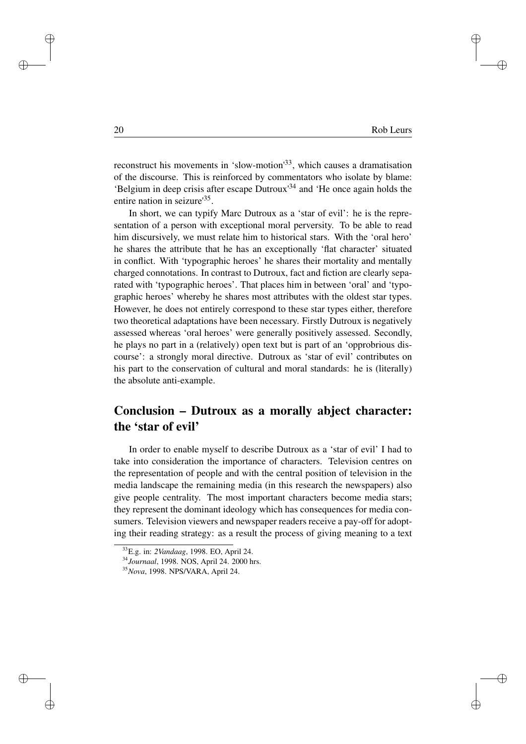✐

✐

✐

reconstruct his movements in 'slow-motion'33, which causes a dramatisation of the discourse. This is reinforced by commentators who isolate by blame: 'Belgium in deep crisis after escape Dutroux'<sup>34</sup> and 'He once again holds the entire nation in seizure'35.

In short, we can typify Marc Dutroux as a 'star of evil': he is the representation of a person with exceptional moral perversity. To be able to read him discursively, we must relate him to historical stars. With the 'oral hero' he shares the attribute that he has an exceptionally 'flat character' situated in conflict. With 'typographic heroes' he shares their mortality and mentally charged connotations. In contrast to Dutroux, fact and fiction are clearly separated with 'typographic heroes'. That places him in between 'oral' and 'typographic heroes' whereby he shares most attributes with the oldest star types. However, he does not entirely correspond to these star types either, therefore two theoretical adaptations have been necessary. Firstly Dutroux is negatively assessed whereas 'oral heroes' were generally positively assessed. Secondly, he plays no part in a (relatively) open text but is part of an 'opprobrious discourse': a strongly moral directive. Dutroux as 'star of evil' contributes on his part to the conservation of cultural and moral standards: he is (literally) the absolute anti-example.

# Conclusion – Dutroux as a morally abject character: the 'star of evil'

In order to enable myself to describe Dutroux as a 'star of evil' I had to take into consideration the importance of characters. Television centres on the representation of people and with the central position of television in the media landscape the remaining media (in this research the newspapers) also give people centrality. The most important characters become media stars; they represent the dominant ideology which has consequences for media consumers. Television viewers and newspaper readers receive a pay-off for adopting their reading strategy: as a result the process of giving meaning to a text

 $\rightarrow$ 

 $\rightarrow$ 

✐

<sup>33</sup>E.g. in: *2Vandaag*, 1998. EO, April 24.

<sup>34</sup>*Journaal*, 1998. NOS, April 24. 2000 hrs.

<sup>35</sup>*Nova*, 1998. NPS/VARA, April 24.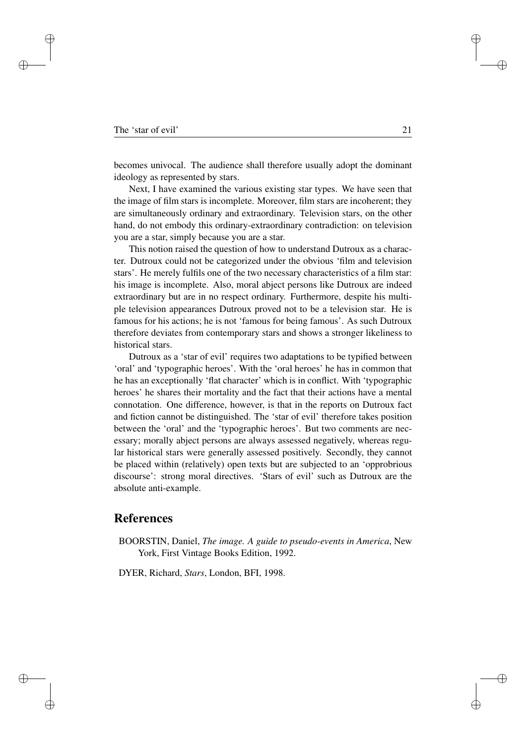$\rightarrow$ 

✐

✐

becomes univocal. The audience shall therefore usually adopt the dominant ideology as represented by stars.

Next, I have examined the various existing star types. We have seen that the image of film stars is incomplete. Moreover, film stars are incoherent; they are simultaneously ordinary and extraordinary. Television stars, on the other hand, do not embody this ordinary-extraordinary contradiction: on television you are a star, simply because you are a star.

This notion raised the question of how to understand Dutroux as a character. Dutroux could not be categorized under the obvious 'film and television stars'. He merely fulfils one of the two necessary characteristics of a film star: his image is incomplete. Also, moral abject persons like Dutroux are indeed extraordinary but are in no respect ordinary. Furthermore, despite his multiple television appearances Dutroux proved not to be a television star. He is famous for his actions; he is not 'famous for being famous'. As such Dutroux therefore deviates from contemporary stars and shows a stronger likeliness to historical stars.

Dutroux as a 'star of evil' requires two adaptations to be typified between 'oral' and 'typographic heroes'. With the 'oral heroes' he has in common that he has an exceptionally 'flat character' which is in conflict. With 'typographic heroes' he shares their mortality and the fact that their actions have a mental connotation. One difference, however, is that in the reports on Dutroux fact and fiction cannot be distinguished. The 'star of evil' therefore takes position between the 'oral' and the 'typographic heroes'. But two comments are necessary; morally abject persons are always assessed negatively, whereas regular historical stars were generally assessed positively. Secondly, they cannot be placed within (relatively) open texts but are subjected to an 'opprobrious discourse': strong moral directives. 'Stars of evil' such as Dutroux are the absolute anti-example.

## References

BOORSTIN, Daniel, *The image. A guide to pseudo-events in America*, New York, First Vintage Books Edition, 1992.

DYER, Richard, *Stars*, London, BFI, 1998.

✐

✐

✐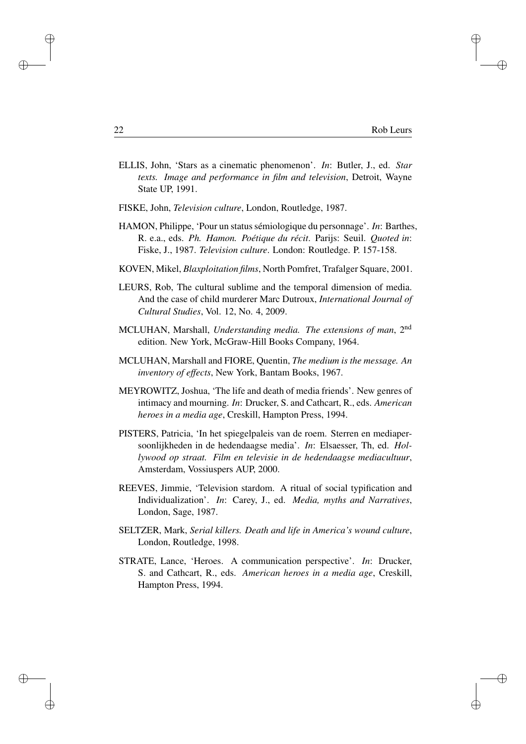✐

✐

✐

- ELLIS, John, 'Stars as a cinematic phenomenon'. *In*: Butler, J., ed. *Star texts. Image and performance in film and television*, Detroit, Wayne State UP, 1991.
- FISKE, John, *Television culture*, London, Routledge, 1987.
- HAMON, Philippe, 'Pour un status sémiologique du personnage'. *In*: Barthes, R. e.a., eds. *Ph. Hamon. Poétique du récit*. Parijs: Seuil. *Quoted in*: Fiske, J., 1987. *Television culture*. London: Routledge. P. 157-158.
- KOVEN, Mikel, *Blaxploitation films*, North Pomfret, Trafalger Square, 2001.
- LEURS, Rob, The cultural sublime and the temporal dimension of media. And the case of child murderer Marc Dutroux, *International Journal of Cultural Studies*, Vol. 12, No. 4, 2009.
- MCLUHAN, Marshall, *Understanding media. The extensions of man*, 2nd edition. New York, McGraw-Hill Books Company, 1964.
- MCLUHAN, Marshall and FIORE, Quentin, *The medium is the message. An inventory of effects*, New York, Bantam Books, 1967.
- MEYROWITZ, Joshua, 'The life and death of media friends'. New genres of intimacy and mourning. *In*: Drucker, S. and Cathcart, R., eds. *American heroes in a media age*, Creskill, Hampton Press, 1994.
- PISTERS, Patricia, 'In het spiegelpaleis van de roem. Sterren en mediapersoonlijkheden in de hedendaagse media'. *In*: Elsaesser, Th, ed. *Hollywood op straat. Film en televisie in de hedendaagse mediacultuur*, Amsterdam, Vossiuspers AUP, 2000.
- REEVES, Jimmie, 'Television stardom. A ritual of social typification and Individualization'. *In*: Carey, J., ed. *Media, myths and Narratives*, London, Sage, 1987.
- SELTZER, Mark, *Serial killers. Death and life in America's wound culture*, London, Routledge, 1998.
- STRATE, Lance, 'Heroes. A communication perspective'. *In*: Drucker, S. and Cathcart, R., eds. *American heroes in a media age*, Creskill, Hampton Press, 1994.

 $\rightarrow$ 

 $\rightarrow$ 

✐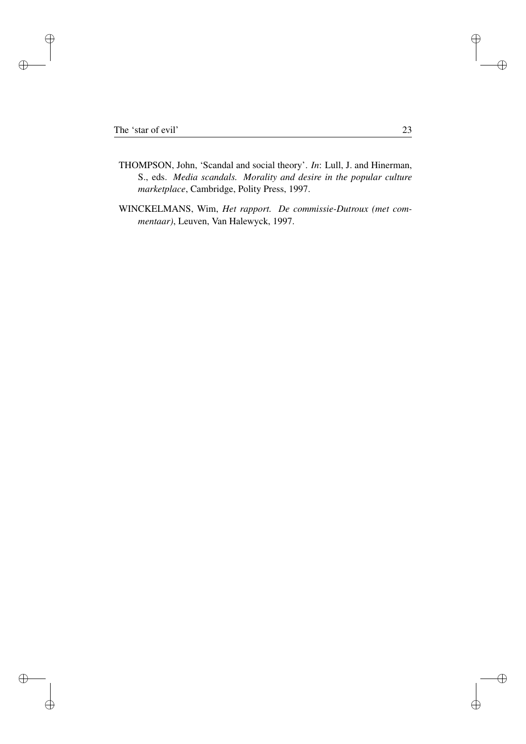$\oplus$ 

 $\oplus$ 

 $\bigoplus$ 

 $\bigoplus$ 

- THOMPSON, John, 'Scandal and social theory'. *In*: Lull, J. and Hinerman, S., eds. *Media scandals. Morality and desire in the popular culture marketplace*, Cambridge, Polity Press, 1997.
- WINCKELMANS, Wim, *Het rapport. De commissie-Dutroux (met commentaar)*, Leuven, Van Halewyck, 1997.

 $\bigoplus$ 

 $\bigoplus$ 

 $\oplus$